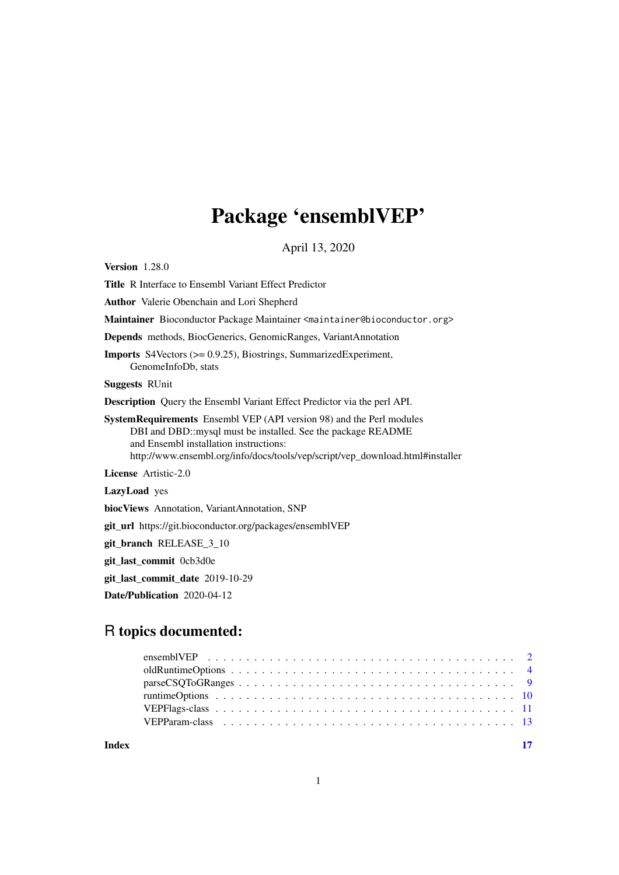# Package 'ensemblVEP'

April 13, 2020

<span id="page-0-0"></span>Version 1.28.0

Title R Interface to Ensembl Variant Effect Predictor

Author Valerie Obenchain and Lori Shepherd

Maintainer Bioconductor Package Maintainer <maintainer@bioconductor.org>

Depends methods, BiocGenerics, GenomicRanges, VariantAnnotation

Imports S4Vectors (>= 0.9.25), Biostrings, SummarizedExperiment, GenomeInfoDb, stats

Suggests RUnit

Description Query the Ensembl Variant Effect Predictor via the perl API.

SystemRequirements Ensembl VEP (API version 98) and the Perl modules DBI and DBD::mysql must be installed. See the package README and Ensembl installation instructions: http://www.ensembl.org/info/docs/tools/vep/script/vep\_download.html#installer

License Artistic-2.0

LazyLoad yes

biocViews Annotation, VariantAnnotation, SNP

git\_url https://git.bioconductor.org/packages/ensemblVEP

git\_branch RELEASE\_3\_10

git\_last\_commit 0cb3d0e

git last commit date 2019-10-29

Date/Publication 2020-04-12

# R topics documented:

**Index** [17](#page-16-0)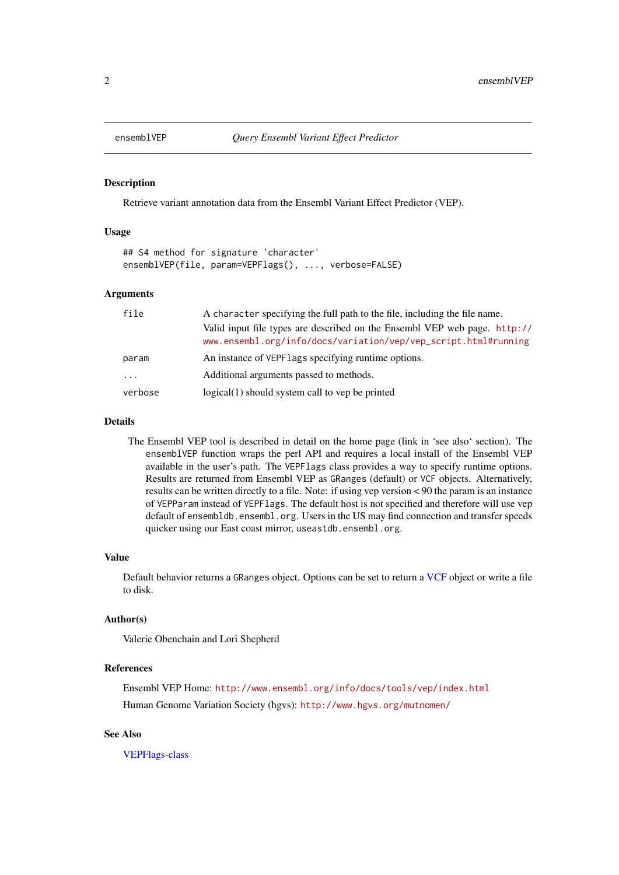<span id="page-1-1"></span><span id="page-1-0"></span>

#### Description

Retrieve variant annotation data from the Ensembl Variant Effect Predictor (VEP).

# Usage

```
## S4 method for signature 'character'
ensemblVEP(file, param=VEPFlags(), ..., verbose=FALSE)
```
# Arguments

| file      | A character specifying the full path to the file, including the file name.                                                                   |  |  |  |
|-----------|----------------------------------------------------------------------------------------------------------------------------------------------|--|--|--|
|           | Valid input file types are described on the Ensembl VEP web page. http://<br>www.ensembl.org/info/docs/variation/vep/vep_script.html#running |  |  |  |
| param     | An instance of VEPF lags specifying runtime options.                                                                                         |  |  |  |
| $\ddotsc$ | Additional arguments passed to methods.                                                                                                      |  |  |  |
| verbose   | $logical(1)$ should system call to vep be printed                                                                                            |  |  |  |

# Details

The Ensembl VEP tool is described in detail on the home page (link in 'see also' section). The ensemblVEP function wraps the perl API and requires a local install of the Ensembl VEP available in the user's path. The VEPFlags class provides a way to specify runtime options. Results are returned from Ensembl VEP as GRanges (default) or VCF objects. Alternatively, results can be written directly to a file. Note: if using vep version < 90 the param is an instance of VEPParam instead of VEPFlags. The default host is not specified and therefore will use vep default of ensembldb.ensembl.org. Users in the US may find connection and transfer speeds quicker using our East coast mirror, useastdb.ensembl.org.

#### Value

Default behavior returns a GRanges object. Options can be set to return a [VCF](#page-0-0) object or write a file to disk.

# Author(s)

Valerie Obenchain and Lori Shepherd

# References

Ensembl VEP Home: <http://www.ensembl.org/info/docs/tools/vep/index.html> Human Genome Variation Society (hgvs): <http://www.hgvs.org/mutnomen/>

# See Also

[VEPFlags-class](#page-10-1)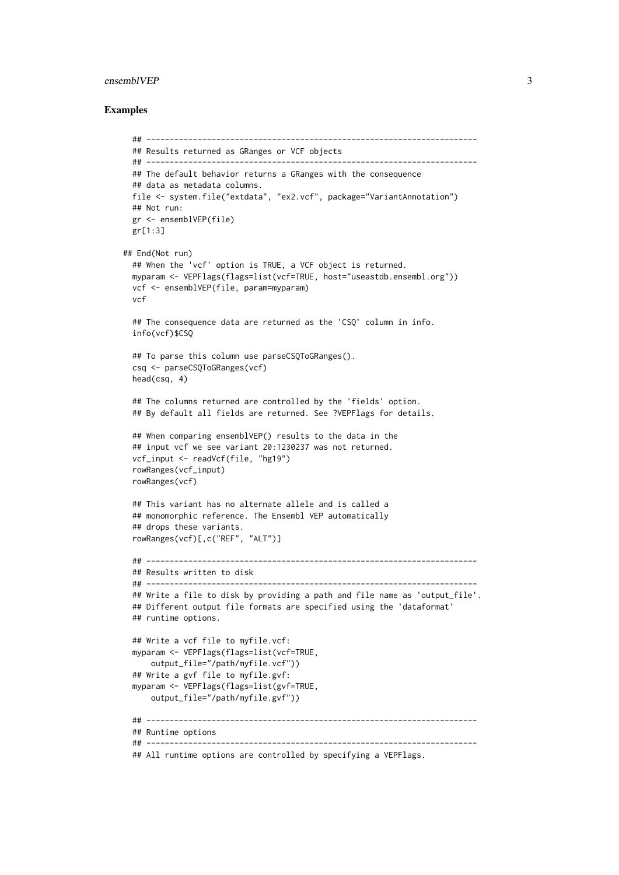#### ensemblVEP 3

```
## -----------------------------------------------------------------------
  ## Results returned as GRanges or VCF objects
  ## -----------------------------------------------------------------------
  ## The default behavior returns a GRanges with the consequence
  ## data as metadata columns.
  file <- system.file("extdata", "ex2.vcf", package="VariantAnnotation")
 ## Not run:
  gr <- ensemblVEP(file)
 gr[1:3]
## End(Not run)
  ## When the 'vcf' option is TRUE, a VCF object is returned.
  myparam <- VEPFlags(flags=list(vcf=TRUE, host="useastdb.ensembl.org"))
  vcf <- ensemblVEP(file, param=myparam)
  vcf
  ## The consequence data are returned as the 'CSQ' column in info.
  info(vcf)$CSQ
  ## To parse this column use parseCSQToGRanges().
  csq <- parseCSQToGRanges(vcf)
  head(csq, 4)
  ## The columns returned are controlled by the 'fields' option.
  ## By default all fields are returned. See ?VEPFlags for details.
  ## When comparing ensemblVEP() results to the data in the
  ## input vcf we see variant 20:1230237 was not returned.
  vcf_input <- readVcf(file, "hg19")
  rowRanges(vcf_input)
  rowRanges(vcf)
  ## This variant has no alternate allele and is called a
  ## monomorphic reference. The Ensembl VEP automatically
  ## drops these variants.
  rowRanges(vcf)[,c("REF", "ALT")]
  ## -----------------------------------------------------------------------
  ## Results written to disk
  ## -----------------------------------------------------------------------
  ## Write a file to disk by providing a path and file name as 'output_file'.
  ## Different output file formats are specified using the 'dataformat'
  ## runtime options.
  ## Write a vcf file to myfile.vcf:
  myparam <- VEPFlags(flags=list(vcf=TRUE,
     output_file="/path/myfile.vcf"))
  ## Write a gvf file to myfile.gvf:
  myparam <- VEPFlags(flags=list(gvf=TRUE,
     output_file="/path/myfile.gvf"))
  ## -----------------------------------------------------------------------
  ## Runtime options
  ## -----------------------------------------------------------------------
  ## All runtime options are controlled by specifying a VEPFlags.
```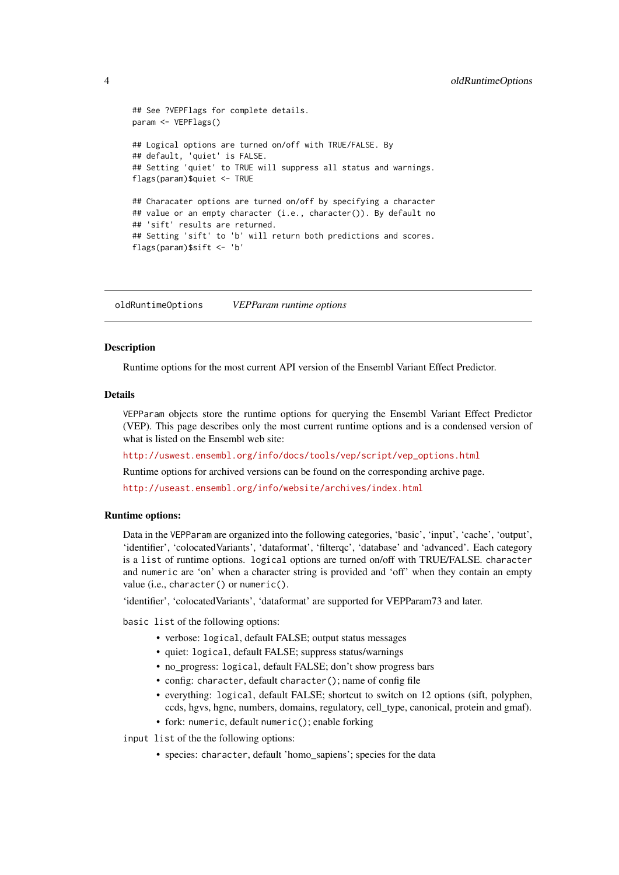```
## See ?VEPFlags for complete details.
param <- VEPFlags()
## Logical options are turned on/off with TRUE/FALSE. By
## default, 'quiet' is FALSE.
## Setting 'quiet' to TRUE will suppress all status and warnings.
flags(param)$quiet <- TRUE
## Characater options are turned on/off by specifying a character
## value or an empty character (i.e., character()). By default no
## 'sift' results are returned.
## Setting 'sift' to 'b' will return both predictions and scores.
flags(param)$sift <- 'b'
```
oldRuntimeOptions *VEPParam runtime options*

# Description

Runtime options for the most current API version of the Ensembl Variant Effect Predictor.

# Details

VEPParam objects store the runtime options for querying the Ensembl Variant Effect Predictor (VEP). This page describes only the most current runtime options and is a condensed version of what is listed on the Ensembl web site:

[http://uswest.ensembl.org/info/docs/tools/vep/script/vep\\_options.html](http://uswest.ensembl.org/info/docs/tools/vep/script/vep_options.html)

Runtime options for archived versions can be found on the corresponding archive page.

<http://useast.ensembl.org/info/website/archives/index.html>

# Runtime options:

Data in the VEPParam are organized into the following categories, 'basic', 'input', 'cache', 'output', 'identifier', 'colocatedVariants', 'dataformat', 'filterqc', 'database' and 'advanced'. Each category is a list of runtime options. logical options are turned on/off with TRUE/FALSE. character and numeric are 'on' when a character string is provided and 'off' when they contain an empty value (i.e., character() or numeric().

'identifier', 'colocatedVariants', 'dataformat' are supported for VEPParam73 and later.

basic list of the following options:

- verbose: logical, default FALSE; output status messages
- quiet: logical, default FALSE; suppress status/warnings
- no progress: logical, default FALSE; don't show progress bars
- config: character, default character(); name of config file
- everything: logical, default FALSE; shortcut to switch on 12 options (sift, polyphen, ccds, hgvs, hgnc, numbers, domains, regulatory, cell\_type, canonical, protein and gmaf).
- fork: numeric, default numeric(); enable forking

input list of the the following options:

• species: character, default 'homo\_sapiens'; species for the data

<span id="page-3-0"></span>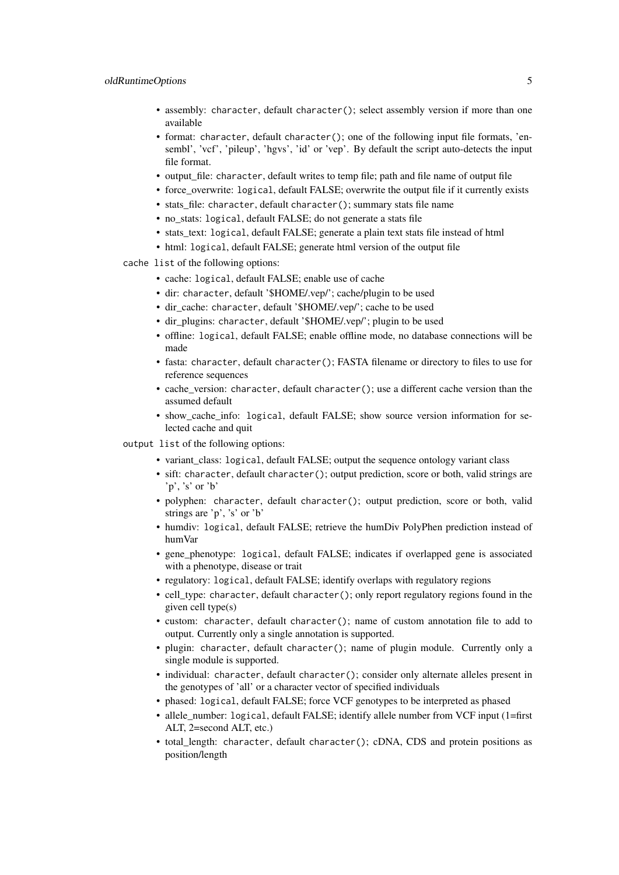- assembly: character, default character(); select assembly version if more than one available
- format: character, default character(); one of the following input file formats, 'ensembl', 'vcf', 'pileup', 'hgvs', 'id' or 'vep'. By default the script auto-detects the input file format.
- output\_file: character, default writes to temp file; path and file name of output file
- force overwrite: logical, default FALSE; overwrite the output file if it currently exists
- stats\_file: character, default character(); summary stats file name
- no\_stats: logical, default FALSE; do not generate a stats file
- stats\_text: logical, default FALSE; generate a plain text stats file instead of html
- html: logical, default FALSE; generate html version of the output file
- cache list of the following options:
	- cache: logical, default FALSE; enable use of cache
	- dir: character, default '\$HOME/.vep/'; cache/plugin to be used
	- dir\_cache: character, default '\$HOME/.vep/'; cache to be used
	- dir\_plugins: character, default '\$HOME/.vep/'; plugin to be used
	- offline: logical, default FALSE; enable offline mode, no database connections will be made
	- fasta: character, default character(); FASTA filename or directory to files to use for reference sequences
	- cache version: character, default character(); use a different cache version than the assumed default
	- show cache info: logical, default FALSE; show source version information for selected cache and quit
- output list of the following options:
	- variant class: logical, default FALSE; output the sequence ontology variant class
	- sift: character, default character(); output prediction, score or both, valid strings are 'p', 's' or 'b'
	- polyphen: character, default character(); output prediction, score or both, valid strings are 'p', 's' or 'b'
	- humdiv: logical, default FALSE; retrieve the humDiv PolyPhen prediction instead of humVar
	- gene phenotype: logical, default FALSE; indicates if overlapped gene is associated with a phenotype, disease or trait
	- regulatory: logical, default FALSE; identify overlaps with regulatory regions
	- cell\_type: character, default character(); only report regulatory regions found in the given cell type(s)
	- custom: character, default character(); name of custom annotation file to add to output. Currently only a single annotation is supported.
	- plugin: character, default character(); name of plugin module. Currently only a single module is supported.
	- individual: character, default character(); consider only alternate alleles present in the genotypes of 'all' or a character vector of specified individuals
	- phased: logical, default FALSE; force VCF genotypes to be interpreted as phased
	- allele\_number: logical, default FALSE; identify allele number from VCF input (1=first) ALT, 2=second ALT, etc.)
	- total\_length: character, default character(); cDNA, CDS and protein positions as position/length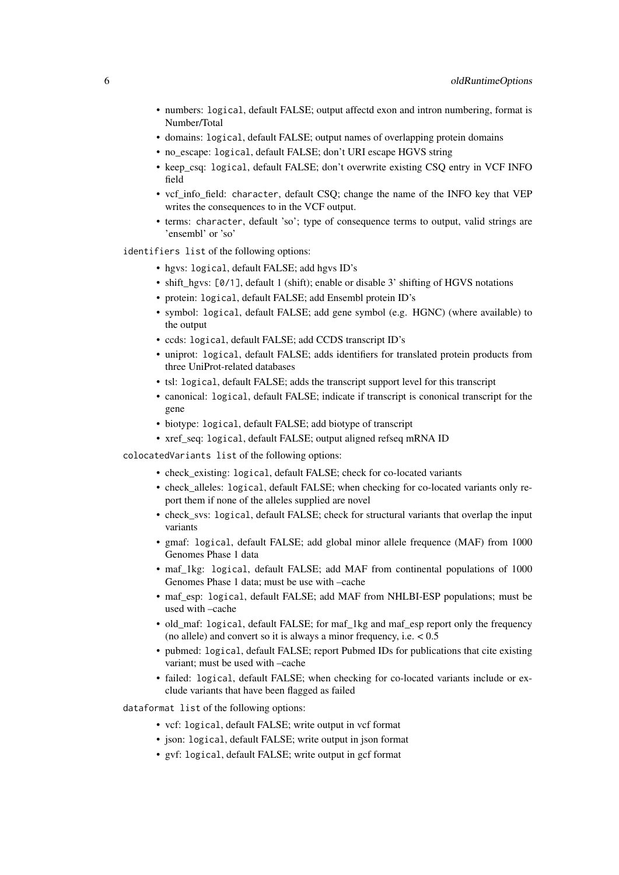- numbers: logical, default FALSE; output affectd exon and intron numbering, format is Number/Total
- domains: logical, default FALSE; output names of overlapping protein domains
- no\_escape: logical, default FALSE; don't URI escape HGVS string
- keep\_csq: logical, default FALSE; don't overwrite existing CSQ entry in VCF INFO field
- vcf\_info\_field: character, default CSQ; change the name of the INFO key that VEP writes the consequences to in the VCF output.
- terms: character, default 'so'; type of consequence terms to output, valid strings are 'ensembl' or 'so'
- identifiers list of the following options:
	- hgvs: logical, default FALSE; add hgvs ID's
	- shift\_hgvs: [0/1], default 1 (shift); enable or disable 3' shifting of HGVS notations
	- protein: logical, default FALSE; add Ensembl protein ID's
	- symbol: logical, default FALSE; add gene symbol (e.g. HGNC) (where available) to the output
	- ccds: logical, default FALSE; add CCDS transcript ID's
	- uniprot: logical, default FALSE; adds identifiers for translated protein products from three UniProt-related databases
	- tsl: logical, default FALSE; adds the transcript support level for this transcript
	- canonical: logical, default FALSE; indicate if transcript is cononical transcript for the gene
	- biotype: logical, default FALSE; add biotype of transcript
	- xref\_seq: logical, default FALSE; output aligned refseq mRNA ID

colocatedVariants list of the following options:

- check\_existing: logical, default FALSE; check for co-located variants
- check alleles: logical, default FALSE; when checking for co-located variants only report them if none of the alleles supplied are novel
- check\_svs: logical, default FALSE; check for structural variants that overlap the input variants
- gmaf: logical, default FALSE; add global minor allele frequence (MAF) from 1000 Genomes Phase 1 data
- maf\_1kg: logical, default FALSE; add MAF from continental populations of 1000 Genomes Phase 1 data; must be use with –cache
- maf\_esp: logical, default FALSE; add MAF from NHLBI-ESP populations; must be used with –cache
- old\_maf: logical, default FALSE; for maf\_1kg and maf\_esp report only the frequency (no allele) and convert so it is always a minor frequency, i.e.  $< 0.5$
- pubmed: logical, default FALSE; report Pubmed IDs for publications that cite existing variant; must be used with –cache
- failed: logical, default FALSE; when checking for co-located variants include or exclude variants that have been flagged as failed

dataformat list of the following options:

- vcf: logical, default FALSE; write output in vcf format
- json: logical, default FALSE; write output in json format
- gvf: logical, default FALSE; write output in gcf format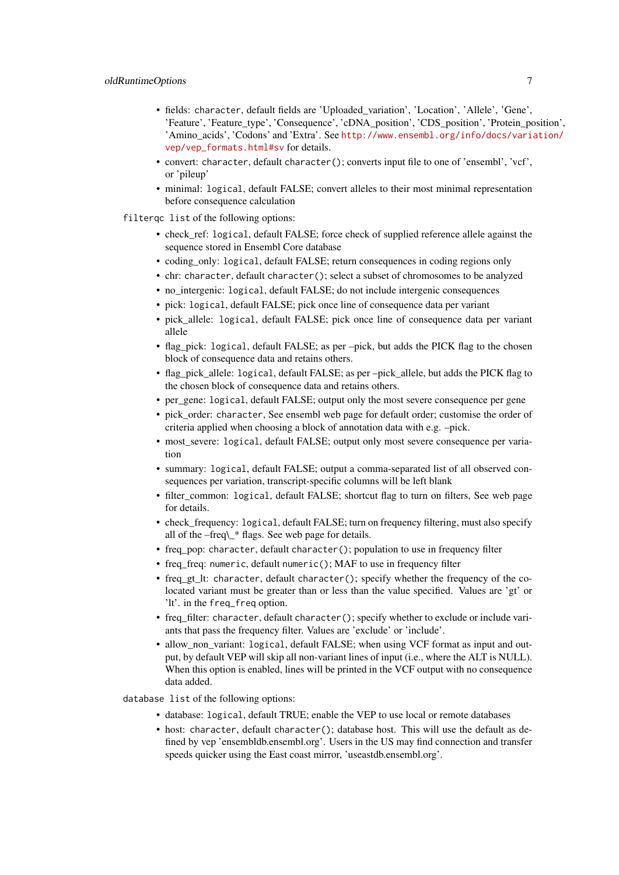- fields: character, default fields are 'Uploaded\_variation', 'Location', 'Allele', 'Gene', 'Feature', 'Feature\_type', 'Consequence', 'cDNA\_position', 'CDS\_position', 'Protein\_position', 'Amino\_acids', 'Codons' and 'Extra'. See [http://www.ensembl.org/info/docs/varia](http://www.ensembl.org/info/docs/variation/vep/vep_formats.html#sv)tion/ [vep/vep\\_formats.html#sv](http://www.ensembl.org/info/docs/variation/vep/vep_formats.html#sv) for details.
- convert: character, default character(); converts input file to one of 'ensembl', 'vcf', or 'pileup'
- minimal: logical, default FALSE; convert alleles to their most minimal representation before consequence calculation
- filterqc list of the following options:
	- check ref: logical, default FALSE; force check of supplied reference allele against the sequence stored in Ensembl Core database
	- coding\_only: logical, default FALSE; return consequences in coding regions only
	- chr: character, default character(); select a subset of chromosomes to be analyzed
	- no\_intergenic: logical, default FALSE; do not include intergenic consequences
	- pick: logical, default FALSE; pick once line of consequence data per variant
	- pick allele: logical, default FALSE; pick once line of consequence data per variant allele
	- flag\_pick: logical, default FALSE; as per –pick, but adds the PICK flag to the chosen block of consequence data and retains others.
	- flag pick allele: logical, default FALSE; as per –pick allele, but adds the PICK flag to the chosen block of consequence data and retains others.
	- per\_gene: logical, default FALSE; output only the most severe consequence per gene
	- pick\_order: character, See ensembl web page for default order; customise the order of criteria applied when choosing a block of annotation data with e.g. –pick.
	- most severe: logical, default FALSE; output only most severe consequence per variation
	- summary: logical, default FALSE; output a comma-separated list of all observed consequences per variation, transcript-specific columns will be left blank
	- filter common: logical, default FALSE; shortcut flag to turn on filters, See web page for details.
	- check frequency: logical, default FALSE; turn on frequency filtering, must also specify all of the –freq\\_\* flags. See web page for details.
	- freq pop: character, default character(); population to use in frequency filter
	- freq freq: numeric, default numeric(); MAF to use in frequency filter
	- freq\_gt\_lt: character, default character(); specify whether the frequency of the colocated variant must be greater than or less than the value specified. Values are 'gt' or 'lt'. in the freq\_freq option.
	- freq\_filter: character, default character(); specify whether to exclude or include variants that pass the frequency filter. Values are 'exclude' or 'include'.
	- allow non variant: logical, default FALSE; when using VCF format as input and output, by default VEP will skip all non-variant lines of input (i.e., where the ALT is NULL). When this option is enabled, lines will be printed in the VCF output with no consequence data added.

database list of the following options:

- database: logical, default TRUE; enable the VEP to use local or remote databases
- host: character, default character(); database host. This will use the default as defined by vep 'ensembldb.ensembl.org'. Users in the US may find connection and transfer speeds quicker using the East coast mirror, 'useastdb.ensembl.org'.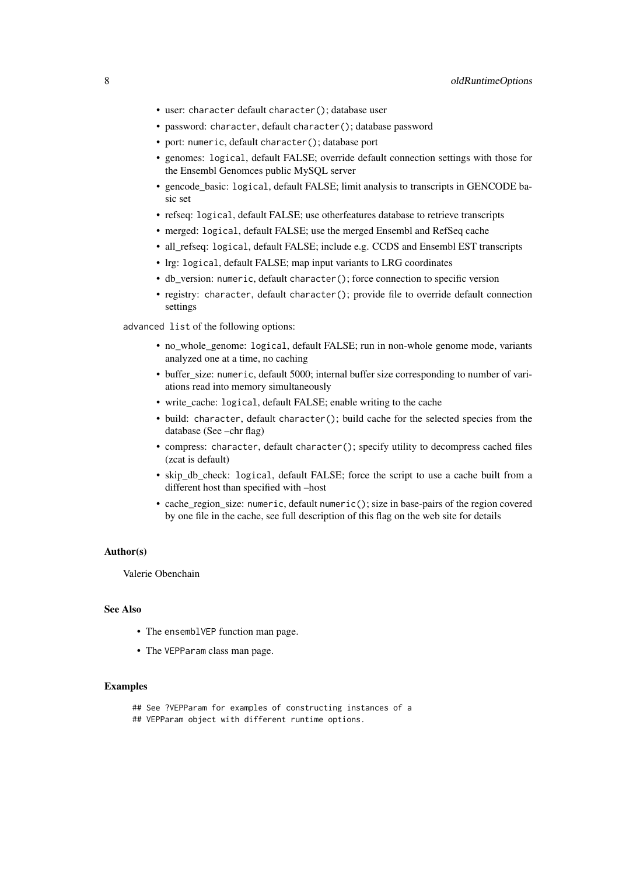- user: character default character(); database user
- password: character, default character(); database password
- port: numeric, default character(); database port
- genomes: logical, default FALSE; override default connection settings with those for the Ensembl Genomces public MySQL server
- gencode\_basic: logical, default FALSE; limit analysis to transcripts in GENCODE basic set
- refseq: logical, default FALSE; use otherfeatures database to retrieve transcripts
- merged: logical, default FALSE; use the merged Ensembl and RefSeq cache
- all refseq: logical, default FALSE; include e.g. CCDS and Ensembl EST transcripts
- lrg: logical, default FALSE; map input variants to LRG coordinates
- db\_version: numeric, default character(); force connection to specific version
- registry: character, default character(); provide file to override default connection settings

advanced list of the following options:

- no\_whole\_genome: logical, default FALSE; run in non-whole genome mode, variants analyzed one at a time, no caching
- buffer\_size: numeric, default 5000; internal buffer size corresponding to number of variations read into memory simultaneously
- write\_cache: logical, default FALSE; enable writing to the cache
- build: character, default character(); build cache for the selected species from the database (See –chr flag)
- compress: character, default character(); specify utility to decompress cached files (zcat is default)
- skip db check: logical, default FALSE; force the script to use a cache built from a different host than specified with –host
- cache\_region\_size: numeric, default numeric(); size in base-pairs of the region covered by one file in the cache, see full description of this flag on the web site for details

# Author(s)

Valerie Obenchain

# See Also

- The ensemblVEP function man page.
- The VEPParam class man page.

- ## See ?VEPParam for examples of constructing instances of a
- ## VEPParam object with different runtime options.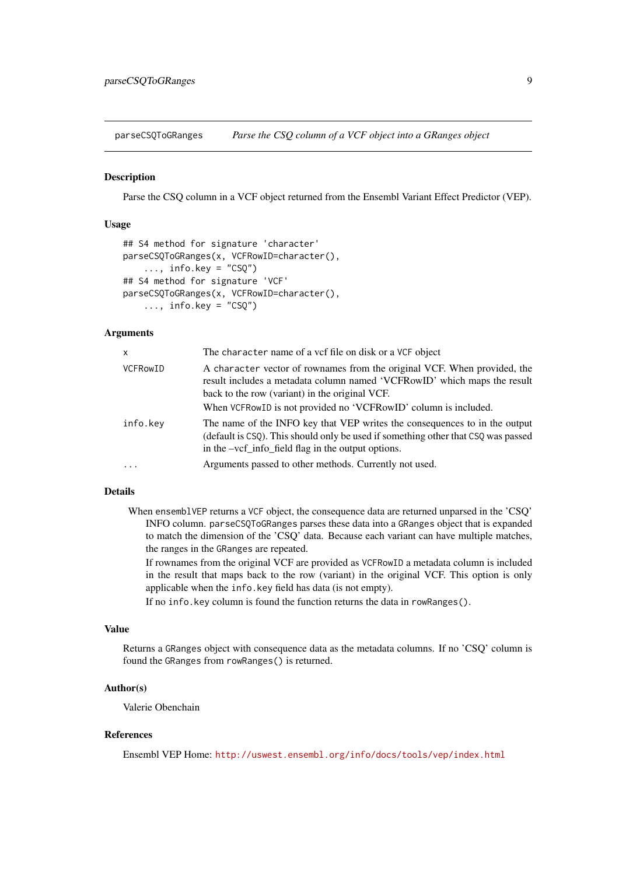<span id="page-8-0"></span>parseCSQToGRanges *Parse the CSQ column of a VCF object into a GRanges object*

## Description

Parse the CSQ column in a VCF object returned from the Ensembl Variant Effect Predictor (VEP).

# Usage

```
## S4 method for signature 'character'
parseCSQToGRanges(x, VCFRowID=character(),
    \ldots, info.key = "CSQ")
## S4 method for signature 'VCF'
parseCSQToGRanges(x, VCFRowID=character(),
    \ldots, info.key = "CSQ")
```
# Arguments

| $\mathsf{x}$    | The character name of a vcf file on disk or a VCF object                                                                                                                                                                                                                  |
|-----------------|---------------------------------------------------------------------------------------------------------------------------------------------------------------------------------------------------------------------------------------------------------------------------|
| <b>VCFRowID</b> | A character vector of rownames from the original VCF. When provided, the<br>result includes a metadata column named 'VCFRowID' which maps the result<br>back to the row (variant) in the original VCF.<br>When VCFRowID is not provided no 'VCFRowID' column is included. |
| info.key        | The name of the INFO key that VEP writes the consequences to in the output<br>(default is CSQ). This should only be used if something other that CSQ was passed<br>in the -vcf_info_field flag in the output options.                                                     |
| $\cdots$        | Arguments passed to other methods. Currently not used.                                                                                                                                                                                                                    |

# Details

When ensemblVEP returns a VCF object, the consequence data are returned unparsed in the 'CSQ' INFO column. parseCSQToGRanges parses these data into a GRanges object that is expanded to match the dimension of the 'CSQ' data. Because each variant can have multiple matches, the ranges in the GRanges are repeated.

If rownames from the original VCF are provided as VCFRowID a metadata column is included in the result that maps back to the row (variant) in the original VCF. This option is only applicable when the info.key field has data (is not empty).

If no info.key column is found the function returns the data in rowRanges().

# Value

Returns a GRanges object with consequence data as the metadata columns. If no 'CSQ' column is found the GRanges from rowRanges() is returned.

# Author(s)

Valerie Obenchain

# References

Ensembl VEP Home: <http://uswest.ensembl.org/info/docs/tools/vep/index.html>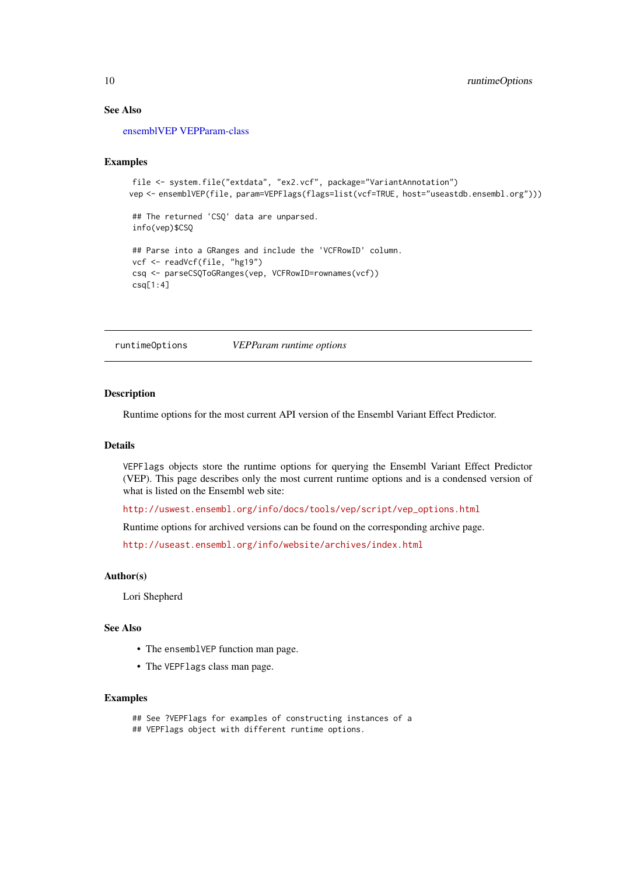# See Also

[ensemblVEP](#page-1-1) [VEPParam-class](#page-12-1)

#### Examples

```
file <- system.file("extdata", "ex2.vcf", package="VariantAnnotation")
vep <- ensemblVEP(file, param=VEPFlags(flags=list(vcf=TRUE, host="useastdb.ensembl.org")))
## The returned 'CSQ' data are unparsed.
info(vep)$CSQ
## Parse into a GRanges and include the 'VCFRowID' column.
vcf <- readVcf(file, "hg19")
csq <- parseCSQToGRanges(vep, VCFRowID=rownames(vcf))
csq[1:4]
```
runtimeOptions *VEPParam runtime options*

# Description

Runtime options for the most current API version of the Ensembl Variant Effect Predictor.

#### Details

VEPFlags objects store the runtime options for querying the Ensembl Variant Effect Predictor (VEP). This page describes only the most current runtime options and is a condensed version of what is listed on the Ensembl web site:

[http://uswest.ensembl.org/info/docs/tools/vep/script/vep\\_options.html](http://uswest.ensembl.org/info/docs/tools/vep/script/vep_options.html)

Runtime options for archived versions can be found on the corresponding archive page.

<http://useast.ensembl.org/info/website/archives/index.html>

#### Author(s)

Lori Shepherd

# See Also

- The ensemblVEP function man page.
- The VEPFlags class man page.

# Examples

## See ?VEPFlags for examples of constructing instances of a ## VEPFlags object with different runtime options.

<span id="page-9-0"></span>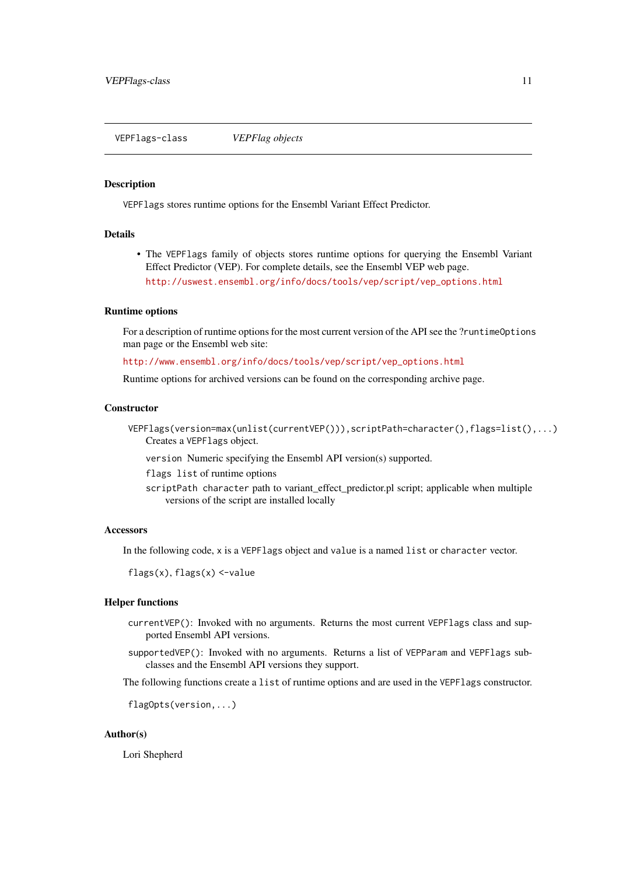<span id="page-10-1"></span><span id="page-10-0"></span>VEPFlags-class *VEPFlag objects*

#### Description

VEPFlags stores runtime options for the Ensembl Variant Effect Predictor.

# Details

• The VEPFlags family of objects stores runtime options for querying the Ensembl Variant Effect Predictor (VEP). For complete details, see the Ensembl VEP web page. [http://uswest.ensembl.org/info/docs/tools/vep/script/vep\\_options.html](http://uswest.ensembl.org/info/docs/tools/vep/script/vep_options.html)

# Runtime options

For a description of runtime options for the most current version of the API see the ?runtimeOptions man page or the Ensembl web site:

[http://www.ensembl.org/info/docs/tools/vep/script/vep\\_options.html](http://www.ensembl.org/info/docs/tools/vep/script/vep_options.html)

Runtime options for archived versions can be found on the corresponding archive page.

# **Constructor**

VEPFlags(version=max(unlist(currentVEP())),scriptPath=character(),flags=list(),...) Creates a VEPFlags object.

version Numeric specifying the Ensembl API version(s) supported.

flags list of runtime options

scriptPath character path to variant\_effect\_predictor.pl script; applicable when multiple versions of the script are installed locally

# Accessors

In the following code, x is a VEPFlags object and value is a named list or character vector.

flags(x), flags(x) <-value

#### Helper functions

- currentVEP(): Invoked with no arguments. Returns the most current VEPFlags class and supported Ensembl API versions.
- supportedVEP(): Invoked with no arguments. Returns a list of VEPParam and VEPFlags subclasses and the Ensembl API versions they support.

The following functions create a list of runtime options and are used in the VEPFlags constructor.

flagOpts(version,...)

# Author(s)

Lori Shepherd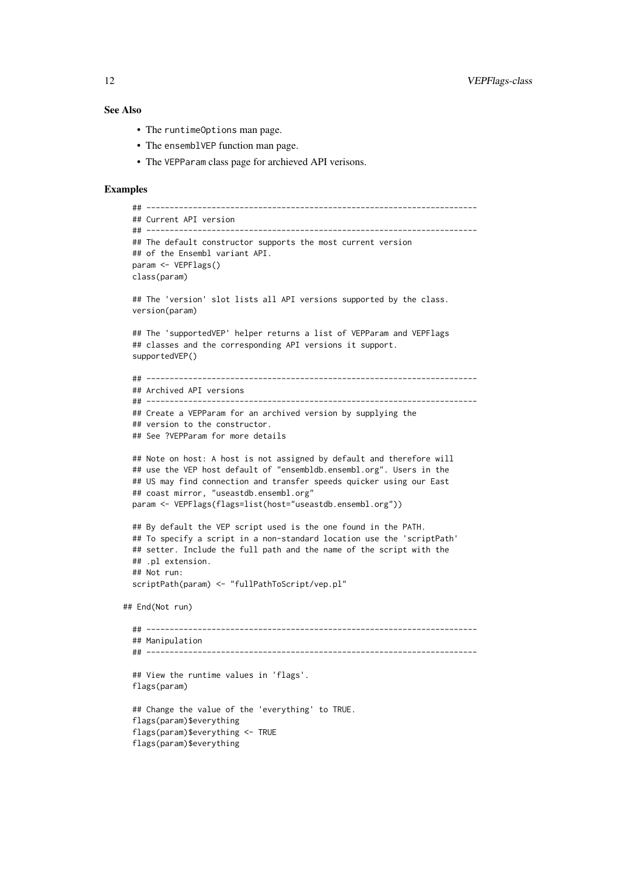#### See Also

- The runtimeOptions man page.
- The ensemblVEP function man page.
- The VEPParam class page for archieved API verisons.

```
## -----------------------------------------------------------------------
  ## Current API version
  ## -----------------------------------------------------------------------
  ## The default constructor supports the most current version
  ## of the Ensembl variant API.
  param <- VEPFlags()
  class(param)
  ## The 'version' slot lists all API versions supported by the class.
  version(param)
  ## The 'supportedVEP' helper returns a list of VEPParam and VEPFlags
  ## classes and the corresponding API versions it support.
  supportedVEP()
  ## -----------------------------------------------------------------------
  ## Archived API versions
  ## -----------------------------------------------------------------------
  ## Create a VEPParam for an archived version by supplying the
  ## version to the constructor.
  ## See ?VEPParam for more details
  ## Note on host: A host is not assigned by default and therefore will
  ## use the VEP host default of "ensembldb.ensembl.org". Users in the
  ## US may find connection and transfer speeds quicker using our East
  ## coast mirror, "useastdb.ensembl.org"
  param <- VEPFlags(flags=list(host="useastdb.ensembl.org"))
  ## By default the VEP script used is the one found in the PATH.
  ## To specify a script in a non-standard location use the 'scriptPath'
  ## setter. Include the full path and the name of the script with the
  ## .pl extension.
  ## Not run:
  scriptPath(param) <- "fullPathToScript/vep.pl"
## End(Not run)
  ## -----------------------------------------------------------------------
  ## Manipulation
  ## -----------------------------------------------------------------------
  ## View the runtime values in 'flags'.
  flags(param)
  ## Change the value of the 'everything' to TRUE.
  flags(param)$everything
  flags(param)$everything <- TRUE
  flags(param)$everything
```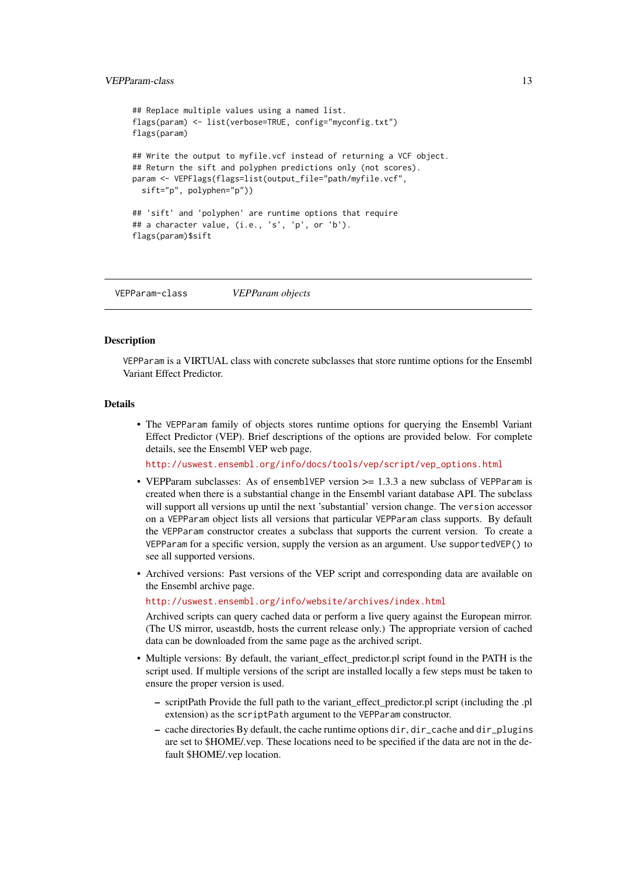# <span id="page-12-0"></span>VEPParam-class 13

```
## Replace multiple values using a named list.
flags(param) <- list(verbose=TRUE, config="myconfig.txt")
flags(param)
## Write the output to myfile.vcf instead of returning a VCF object.
## Return the sift and polyphen predictions only (not scores).
param <- VEPFlags(flags=list(output_file="path/myfile.vcf",
 sift="p", polyphen="p"))
## 'sift' and 'polyphen' are runtime options that require
## a character value, (i.e., 's', 'p', or 'b').
flags(param)$sift
```
<span id="page-12-1"></span>VEPParam-class *VEPParam objects*

### Description

VEPParam is a VIRTUAL class with concrete subclasses that store runtime options for the Ensembl Variant Effect Predictor.

# Details

• The VEPParam family of objects stores runtime options for querying the Ensembl Variant Effect Predictor (VEP). Brief descriptions of the options are provided below. For complete details, see the Ensembl VEP web page.

[http://uswest.ensembl.org/info/docs/tools/vep/script/vep\\_options.html](http://uswest.ensembl.org/info/docs/tools/vep/script/vep_options.html)

- VEPParam subclasses: As of ensemblVEP version  $\ge$  1.3.3 a new subclass of VEPParam is created when there is a substantial change in the Ensembl variant database API. The subclass will support all versions up until the next 'substantial' version change. The version accessor on a VEPParam object lists all versions that particular VEPParam class supports. By default the VEPParam constructor creates a subclass that supports the current version. To create a VEPParam for a specific version, supply the version as an argument. Use supportedVEP() to see all supported versions.
- Archived versions: Past versions of the VEP script and corresponding data are available on the Ensembl archive page.

<http://uswest.ensembl.org/info/website/archives/index.html>

Archived scripts can query cached data or perform a live query against the European mirror. (The US mirror, useastdb, hosts the current release only.) The appropriate version of cached data can be downloaded from the same page as the archived script.

- Multiple versions: By default, the variant\_effect\_predictor.pl script found in the PATH is the script used. If multiple versions of the script are installed locally a few steps must be taken to ensure the proper version is used.
	- scriptPath Provide the full path to the variant\_effect\_predictor.pl script (including the .pl extension) as the scriptPath argument to the VEPParam constructor.
	- cache directories By default, the cache runtime options dir, dir\_cache and dir\_plugins are set to \$HOME/.vep. These locations need to be specified if the data are not in the default \$HOME/.vep location.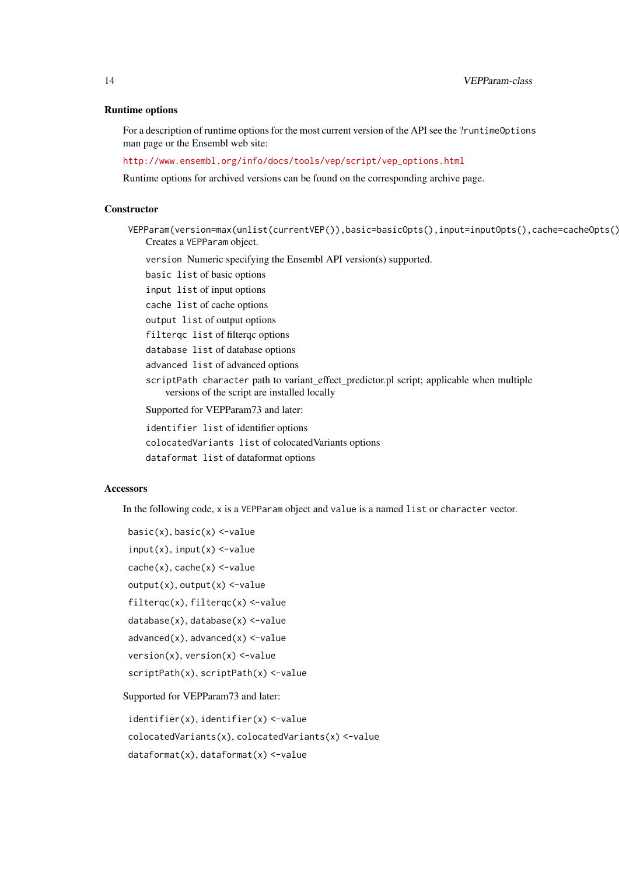#### Runtime options

For a description of runtime options for the most current version of the API see the ?runtimeOptions man page or the Ensembl web site:

[http://www.ensembl.org/info/docs/tools/vep/script/vep\\_options.html](http://www.ensembl.org/info/docs/tools/vep/script/vep_options.html)

Runtime options for archived versions can be found on the corresponding archive page.

# **Constructor**

- VEPParam(version=max(unlist(currentVEP()),basic=basicOpts(),input=inputOpts(),cache=cacheOpts() Creates a VEPParam object.
	- version Numeric specifying the Ensembl API version(s) supported.

basic list of basic options

input list of input options

cache list of cache options

output list of output options

filterqc list of filterqc options

database list of database options

advanced list of advanced options

scriptPath character path to variant\_effect\_predictor.pl script; applicable when multiple versions of the script are installed locally

Supported for VEPParam73 and later:

identifier list of identifier options

colocatedVariants list of colocatedVariants options

dataformat list of dataformat options

#### **Accessors**

In the following code, x is a VEPParam object and value is a named list or character vector.

```
basic(x), basic(x) <-value
input(x), input(x) <-value
cache(x), cache(x) <-value
output(x), output(x) < -valuefilterqc(x), filterqc(x) <-value
database(x), database(x) <-value
advanced(x), advanced(x) <-value
version(x), version(x) <-value
scriptPath(x), scriptPath(x) <-value
```
Supported for VEPParam73 and later:

identifier(x), identifier(x) <-value colocatedVariants(x), colocatedVariants(x) <-value dataformat(x), dataformat(x) <-value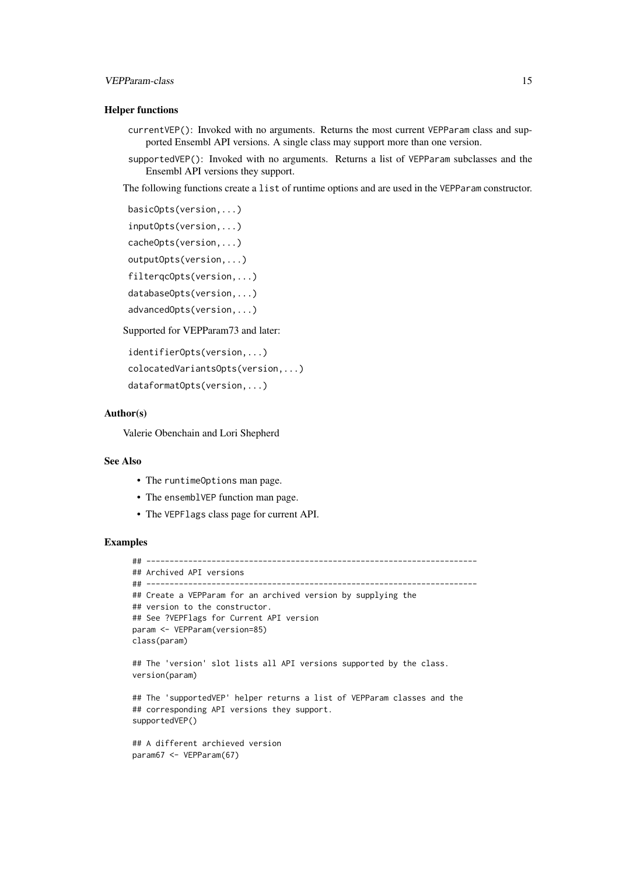#### VEPParam-class 15

# Helper functions

- currentVEP(): Invoked with no arguments. Returns the most current VEPParam class and supported Ensembl API versions. A single class may support more than one version.
- supportedVEP(): Invoked with no arguments. Returns a list of VEPParam subclasses and the Ensembl API versions they support.

The following functions create a list of runtime options and are used in the VEPParam constructor.

```
basicOpts(version,...)
```

```
inputOpts(version,...)
```
cacheOpts(version,...)

outputOpts(version,...)

filterqcOpts(version,...)

databaseOpts(version,...)

```
advancedOpts(version,...)
```
Supported for VEPParam73 and later:

```
identifierOpts(version,...)
colocatedVariantsOpts(version,...)
dataformatOpts(version,...)
```
#### Author(s)

Valerie Obenchain and Lori Shepherd

# See Also

- The runtimeOptions man page.
- The ensemblVEP function man page.
- The VEPFlags class page for current API.

```
## -----------------------------------------------------------------------
## Archived API versions
## -----------------------------------------------------------------------
## Create a VEPParam for an archived version by supplying the
## version to the constructor.
## See ?VEPFlags for Current API version
param <- VEPParam(version=85)
class(param)
## The 'version' slot lists all API versions supported by the class.
version(param)
## The 'supportedVEP' helper returns a list of VEPParam classes and the
## corresponding API versions they support.
supportedVEP()
## A different archieved version
param67 <- VEPParam(67)
```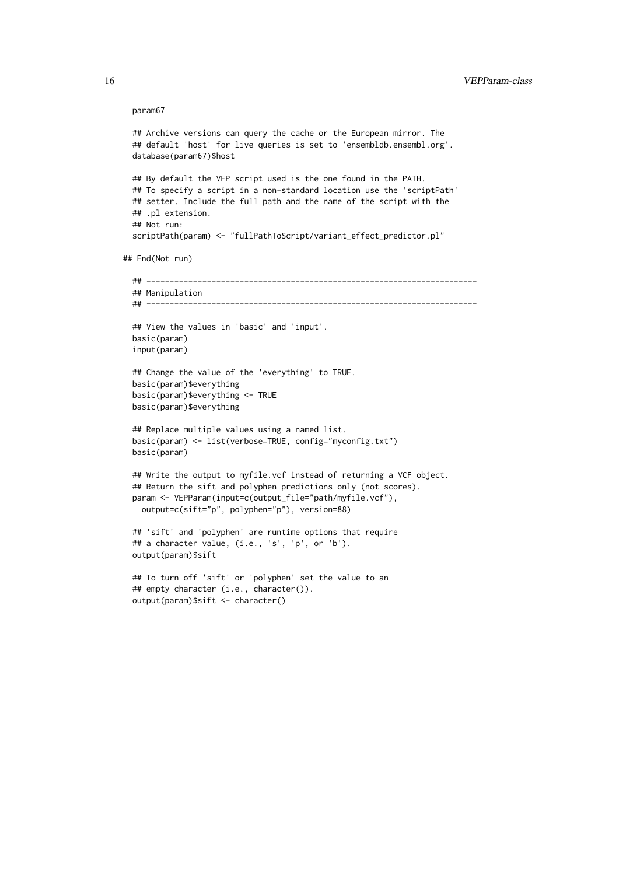#### param67

```
## Archive versions can query the cache or the European mirror. The
  ## default 'host' for live queries is set to 'ensembldb.ensembl.org'.
  database(param67)$host
  ## By default the VEP script used is the one found in the PATH.
  ## To specify a script in a non-standard location use the 'scriptPath'
  ## setter. Include the full path and the name of the script with the
  ## .pl extension.
  ## Not run:
  scriptPath(param) <- "fullPathToScript/variant_effect_predictor.pl"
## End(Not run)
  ## -----------------------------------------------------------------------
  ## Manipulation
  ## -----------------------------------------------------------------------
  ## View the values in 'basic' and 'input'.
  basic(param)
  input(param)
  ## Change the value of the 'everything' to TRUE.
  basic(param)$everything
  basic(param)$everything <- TRUE
  basic(param)$everything
  ## Replace multiple values using a named list.
  basic(param) <- list(verbose=TRUE, config="myconfig.txt")
  basic(param)
  ## Write the output to myfile.vcf instead of returning a VCF object.
  ## Return the sift and polyphen predictions only (not scores).
  param <- VEPParam(input=c(output_file="path/myfile.vcf"),
   output=c(sift="p", polyphen="p"), version=88)
  ## 'sift' and 'polyphen' are runtime options that require
  ## a character value, (i.e., 's', 'p', or 'b').
  output(param)$sift
```

```
## To turn off 'sift' or 'polyphen' set the value to an
## empty character (i.e., character()).
output(param)$sift <- character()
```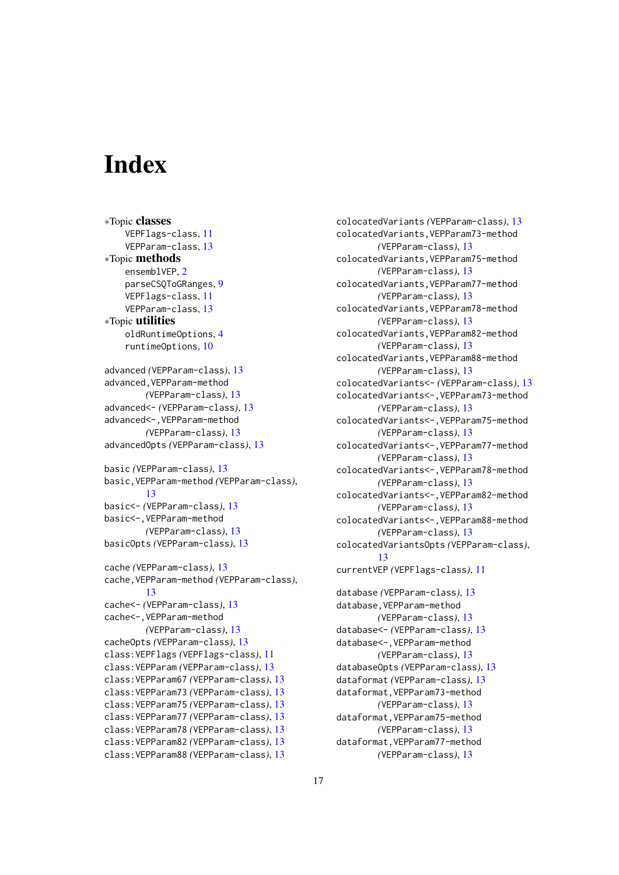# <span id="page-16-0"></span>Index

∗Topic classes VEPFlags-class, [11](#page-10-0) VEPParam-class, [13](#page-12-0) ∗Topic methods ensemblVEP, [2](#page-1-0) parseCSQToGRanges, [9](#page-8-0) VEPFlags-class, [11](#page-10-0) VEPParam-class, [13](#page-12-0) ∗Topic utilities oldRuntimeOptions, [4](#page-3-0) runtimeOptions, [10](#page-9-0) advanced *(*VEPParam-class*)*, [13](#page-12-0) advanced,VEPParam-method *(*VEPParam-class*)*, [13](#page-12-0) advanced<- *(*VEPParam-class*)*, [13](#page-12-0) advanced<-,VEPParam-method *(*VEPParam-class*)*, [13](#page-12-0) advancedOpts *(*VEPParam-class*)*, [13](#page-12-0) basic *(*VEPParam-class*)*, [13](#page-12-0) basic,VEPParam-method *(*VEPParam-class*)*, [13](#page-12-0) basic<- *(*VEPParam-class*)*, [13](#page-12-0) basic<-,VEPParam-method *(*VEPParam-class*)*, [13](#page-12-0) basicOpts *(*VEPParam-class*)*, [13](#page-12-0) cache *(*VEPParam-class*)*, [13](#page-12-0) cache,VEPParam-method *(*VEPParam-class*)*, [13](#page-12-0) cache<- *(*VEPParam-class*)*, [13](#page-12-0) cache<-,VEPParam-method *(*VEPParam-class*)*, [13](#page-12-0) cacheOpts *(*VEPParam-class*)*, [13](#page-12-0) class:VEPFlags *(*VEPFlags-class*)*, [11](#page-10-0) class:VEPParam *(*VEPParam-class*)*, [13](#page-12-0) class:VEPParam67 *(*VEPParam-class*)*, [13](#page-12-0) class:VEPParam73 *(*VEPParam-class*)*, [13](#page-12-0) class:VEPParam75 *(*VEPParam-class*)*, [13](#page-12-0) class:VEPParam77 *(*VEPParam-class*)*, [13](#page-12-0) class:VEPParam78 *(*VEPParam-class*)*, [13](#page-12-0) class:VEPParam82 *(*VEPParam-class*)*, [13](#page-12-0) class:VEPParam88 *(*VEPParam-class*)*, [13](#page-12-0)

colocatedVariants *(*VEPParam-class*)*, [13](#page-12-0) colocatedVariants,VEPParam73-method *(*VEPParam-class*)*, [13](#page-12-0) colocatedVariants,VEPParam75-method *(*VEPParam-class*)*, [13](#page-12-0) colocatedVariants,VEPParam77-method *(*VEPParam-class*)*, [13](#page-12-0) colocatedVariants,VEPParam78-method *(*VEPParam-class*)*, [13](#page-12-0) colocatedVariants,VEPParam82-method *(*VEPParam-class*)*, [13](#page-12-0) colocatedVariants,VEPParam88-method *(*VEPParam-class*)*, [13](#page-12-0) colocatedVariants<- *(*VEPParam-class*)*, [13](#page-12-0) colocatedVariants<-,VEPParam73-method *(*VEPParam-class*)*, [13](#page-12-0) colocatedVariants<-,VEPParam75-method *(*VEPParam-class*)*, [13](#page-12-0) colocatedVariants<-,VEPParam77-method *(*VEPParam-class*)*, [13](#page-12-0) colocatedVariants<-,VEPParam78-method *(*VEPParam-class*)*, [13](#page-12-0) colocatedVariants<-,VEPParam82-method *(*VEPParam-class*)*, [13](#page-12-0) colocatedVariants<-,VEPParam88-method *(*VEPParam-class*)*, [13](#page-12-0) colocatedVariantsOpts *(*VEPParam-class*)*, [13](#page-12-0) currentVEP *(*VEPFlags-class*)*, [11](#page-10-0) database *(*VEPParam-class*)*, [13](#page-12-0) database,VEPParam-method *(*VEPParam-class*)*, [13](#page-12-0) database<- *(*VEPParam-class*)*, [13](#page-12-0) database<-,VEPParam-method *(*VEPParam-class*)*, [13](#page-12-0) databaseOpts *(*VEPParam-class*)*, [13](#page-12-0) dataformat *(*VEPParam-class*)*, [13](#page-12-0) dataformat,VEPParam73-method *(*VEPParam-class*)*, [13](#page-12-0)

dataformat,VEPParam75-method *(*VEPParam-class*)*, [13](#page-12-0) dataformat,VEPParam77-method *(*VEPParam-class*)*, [13](#page-12-0)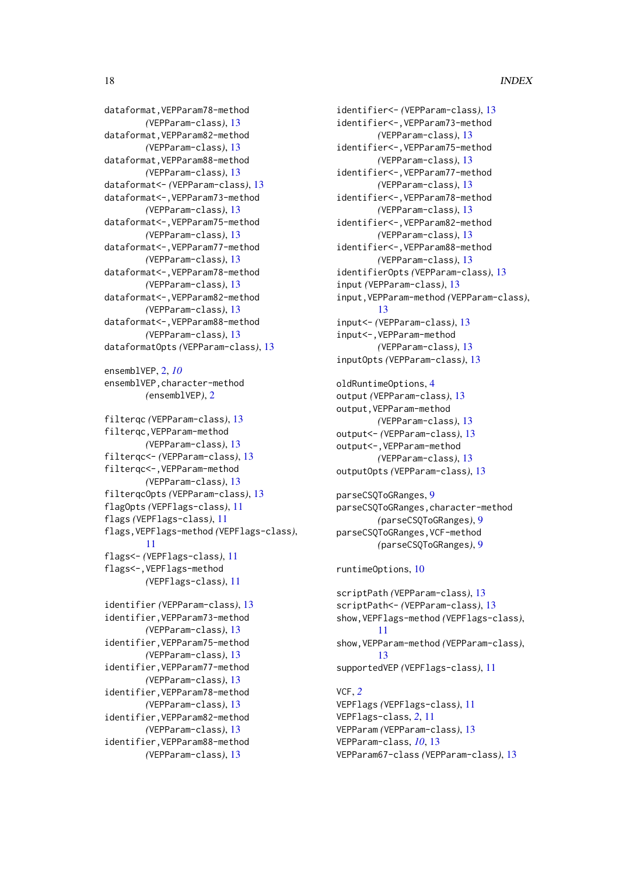# 18 INDEX

dataformat,VEPParam78-method *(*VEPParam-class*)*, [13](#page-12-0) dataformat,VEPParam82-method *(*VEPParam-class*)*, [13](#page-12-0) dataformat,VEPParam88-method *(*VEPParam-class*)*, [13](#page-12-0) dataformat<- *(*VEPParam-class*)*, [13](#page-12-0) dataformat<-,VEPParam73-method *(*VEPParam-class*)*, [13](#page-12-0) dataformat<-,VEPParam75-method *(*VEPParam-class*)*, [13](#page-12-0) dataformat<-,VEPParam77-method *(*VEPParam-class*)*, [13](#page-12-0) dataformat<-,VEPParam78-method *(*VEPParam-class*)*, [13](#page-12-0) dataformat<-,VEPParam82-method *(*VEPParam-class*)*, [13](#page-12-0) dataformat<-,VEPParam88-method *(*VEPParam-class*)*, [13](#page-12-0) dataformatOpts *(*VEPParam-class*)*, [13](#page-12-0) ensemblVEP, [2,](#page-1-0) *[10](#page-9-0)* ensemblVEP,character-method *(*ensemblVEP*)*, [2](#page-1-0) filterqc *(*VEPParam-class*)*, [13](#page-12-0) filterqc,VEPParam-method *(*VEPParam-class*)*, [13](#page-12-0) filterqc<- *(*VEPParam-class*)*, [13](#page-12-0) filterqc<-,VEPParam-method *(*VEPParam-class*)*, [13](#page-12-0) filterqcOpts *(*VEPParam-class*)*, [13](#page-12-0) flagOpts *(*VEPFlags-class*)*, [11](#page-10-0) flags *(*VEPFlags-class*)*, [11](#page-10-0) flags,VEPFlags-method *(*VEPFlags-class*)*, [11](#page-10-0) flags<- *(*VEPFlags-class*)*, [11](#page-10-0) flags<-,VEPFlags-method *(*VEPFlags-class*)*, [11](#page-10-0) identifier *(*VEPParam-class*)*, [13](#page-12-0) identifier,VEPParam73-method *(*VEPParam-class*)*, [13](#page-12-0) identifier,VEPParam75-method *(*VEPParam-class*)*, [13](#page-12-0) identifier,VEPParam77-method *(*VEPParam-class*)*, [13](#page-12-0) identifier,VEPParam78-method *(*VEPParam-class*)*, [13](#page-12-0) identifier,VEPParam82-method *(*VEPParam-class*)*, [13](#page-12-0) identifier,VEPParam88-method

*(*VEPParam-class*)*, [13](#page-12-0)

```
identifier<- (VEPParam-class), 13
identifier<-,VEPParam73-method
        (VEPParam-class), 13
identifier<-,VEPParam75-method
        (VEPParam-class), 13
identifier<-,VEPParam77-method
        (VEPParam-class), 13
identifier<-,VEPParam78-method
        (VEPParam-class), 13
identifier<-,VEPParam82-method
        (VEPParam-class), 13
identifier<-,VEPParam88-method
        (VEPParam-class), 13
identifierOpts (VEPParam-class), 13
input (VEPParam-class), 13
input,VEPParam-method (VEPParam-class),
        13
input<- (VEPParam-class), 13
input<-,VEPParam-method
        (VEPParam-class), 13
inputOpts (VEPParam-class), 13
oldRuntimeOptions, 4
```

```
output (VEPParam-class), 13
output,VEPParam-method
        (VEPParam-class), 13
output<- (VEPParam-class), 13
output<-,VEPParam-method
        (VEPParam-class), 13
outputOpts (VEPParam-class), 13
```

```
parseCSQToGRanges, 9
parseCSQToGRanges,character-method
        (parseCSQToGRanges), 9
parseCSQToGRanges,VCF-method
        (parseCSQToGRanges), 9
```
# runtimeOptions, [10](#page-9-0)

```
scriptPath (VEPParam-class), 13
scriptPath<- (VEPParam-class), 13
show,VEPFlags-method (VEPFlags-class),
        11
show,VEPParam-method (VEPParam-class),
        13
supportedVEP (VEPFlags-class), 11
VCF, 2
```

```
VEPFlags (VEPFlags-class), 11
VEPFlags-class, 2, 11
VEPParam (VEPParam-class), 13
VEPParam-class, 10, 13
VEPParam67-class (VEPParam-class), 13
```